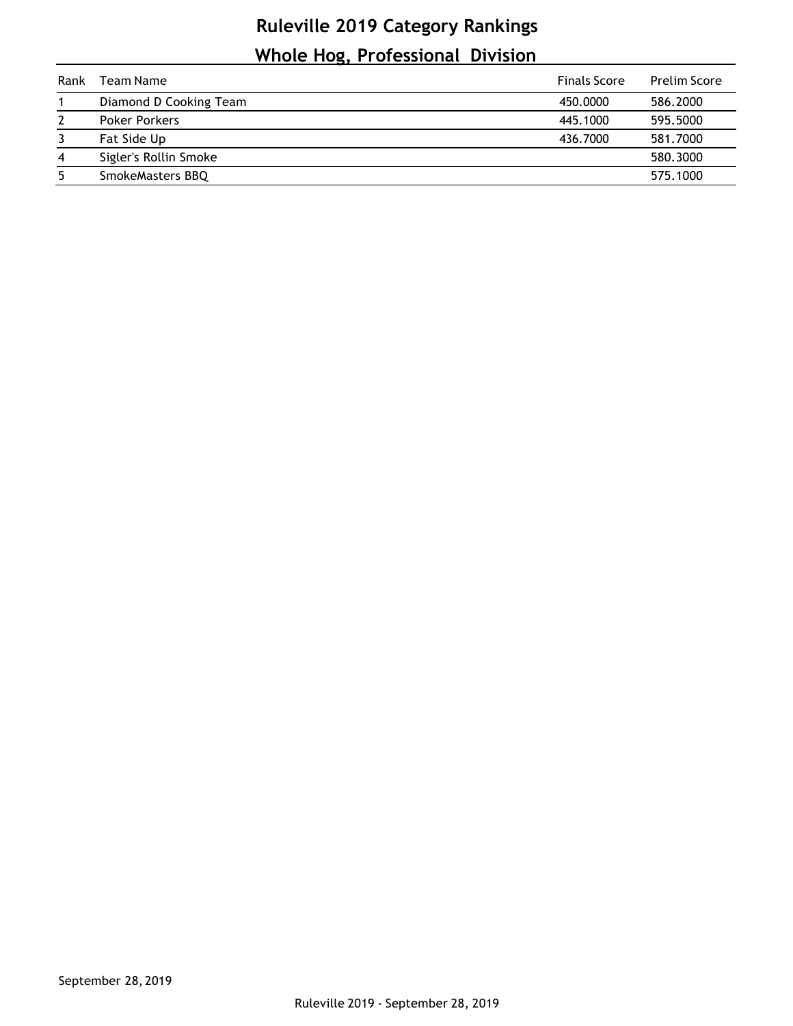## **Ruleville 2019 Category Rankings Whole Hog, Professional Division**

| Rank           | Team Name              | <b>Finals Score</b> | <b>Prelim Score</b> |
|----------------|------------------------|---------------------|---------------------|
|                | Diamond D Cooking Team | 450,0000            | 586.2000            |
| 2              | <b>Poker Porkers</b>   | 445.1000            | 595.5000            |
| 3              | Fat Side Up            | 436.7000            | 581.7000            |
| $\overline{4}$ | Sigler's Rollin Smoke  |                     | 580.3000            |
| 5              | SmokeMasters BBQ       |                     | 575.1000            |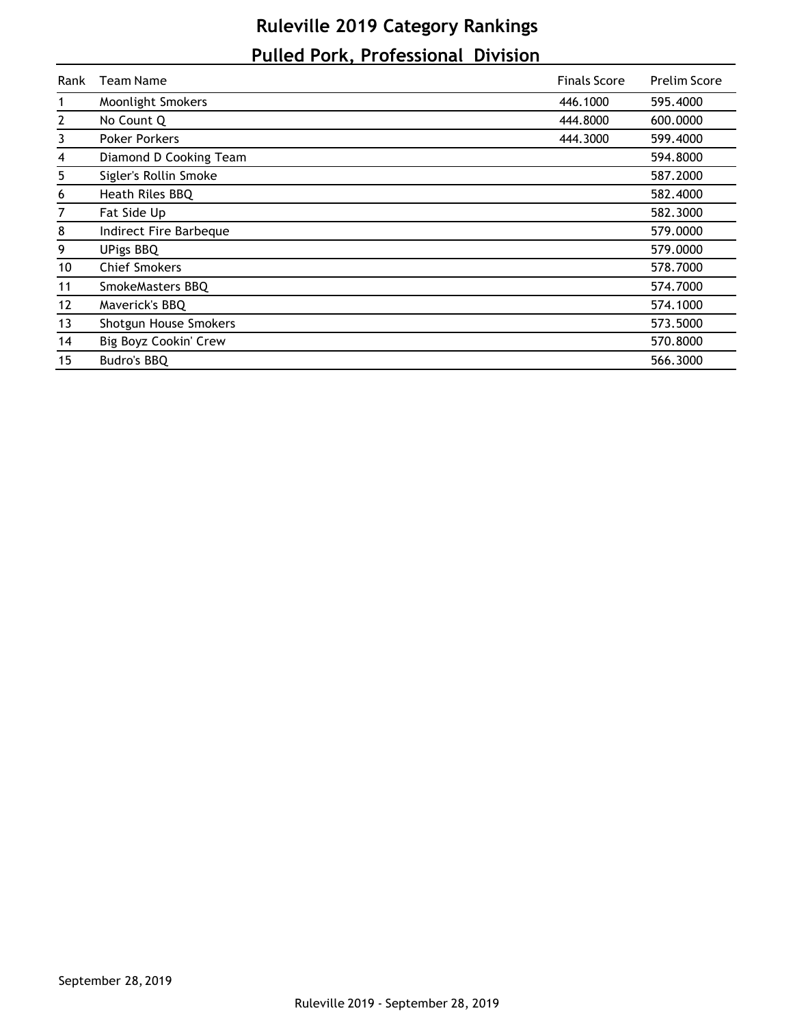## **Ruleville 2019 Category Rankings Pulled Pork, Professional Division**

| Rank           | Team Name                | <b>Finals Score</b> | <b>Prelim Score</b> |
|----------------|--------------------------|---------------------|---------------------|
| 1              | <b>Moonlight Smokers</b> | 446.1000            | 595.4000            |
| $\mathbf{2}$   | No Count Q               | 444.8000            | 600.0000            |
| 3              | <b>Poker Porkers</b>     | 444.3000            | 599.4000            |
| 4              | Diamond D Cooking Team   |                     | 594.8000            |
| 5 <sub>5</sub> | Sigler's Rollin Smoke    |                     | 587.2000            |
| 6              | Heath Riles BBQ          |                     | 582.4000            |
| 7              | Fat Side Up              |                     | 582.3000            |
| 8              | Indirect Fire Barbeque   |                     | 579.0000            |
| 9              | <b>UPigs BBQ</b>         |                     | 579.0000            |
| 10             | <b>Chief Smokers</b>     |                     | 578.7000            |
| 11             | SmokeMasters BBQ         |                     | 574.7000            |
| 12             | Maverick's BBQ           |                     | 574.1000            |
| 13             | Shotgun House Smokers    |                     | 573.5000            |
| 14             | Big Boyz Cookin' Crew    |                     | 570.8000            |
| 15             | Budro's BBQ              |                     | 566.3000            |